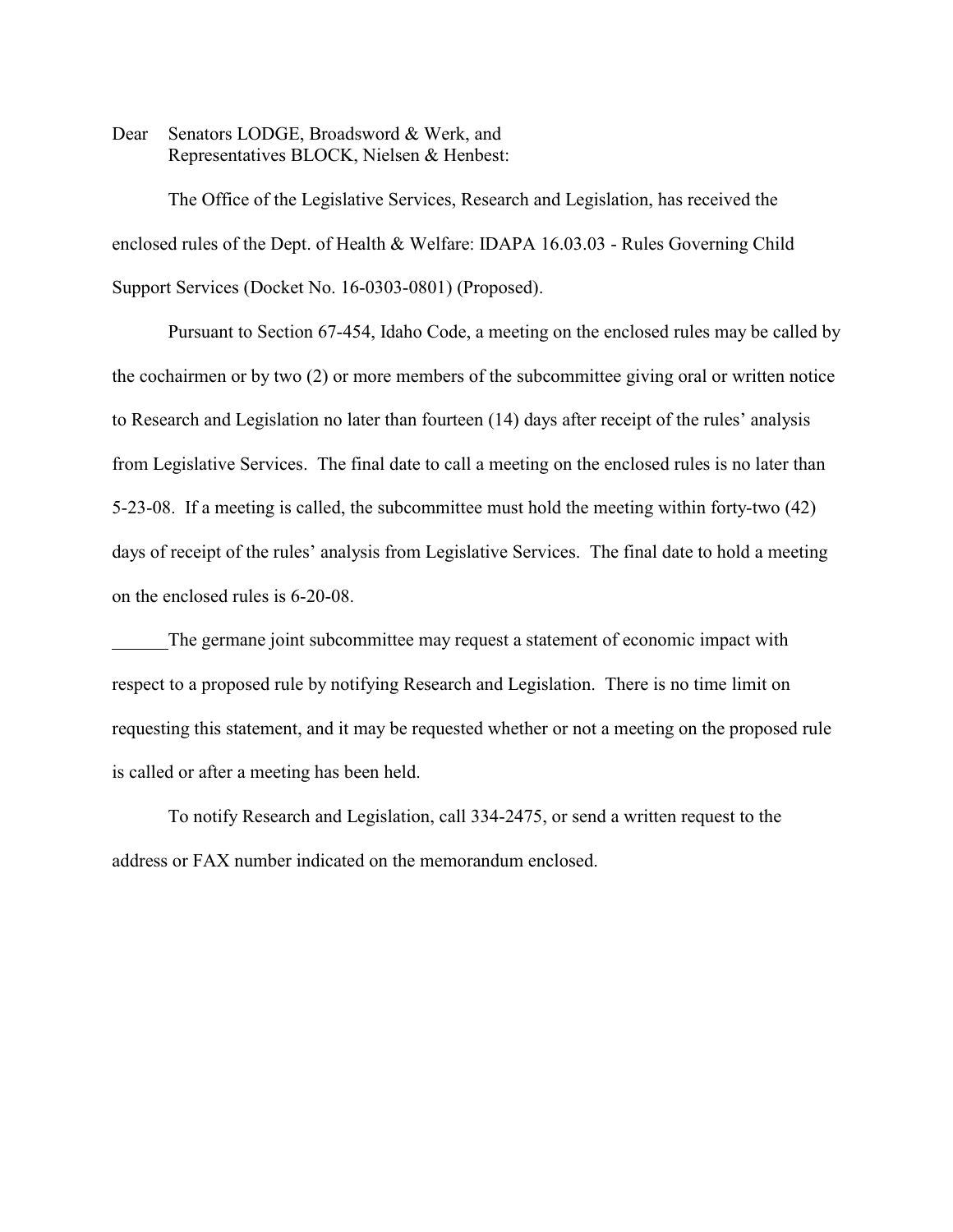Dear Senators LODGE, Broadsword & Werk, and Representatives BLOCK, Nielsen & Henbest:

The Office of the Legislative Services, Research and Legislation, has received the enclosed rules of the Dept. of Health & Welfare: IDAPA 16.03.03 - Rules Governing Child Support Services (Docket No. 16-0303-0801) (Proposed).

Pursuant to Section 67-454, Idaho Code, a meeting on the enclosed rules may be called by the cochairmen or by two (2) or more members of the subcommittee giving oral or written notice to Research and Legislation no later than fourteen (14) days after receipt of the rules' analysis from Legislative Services. The final date to call a meeting on the enclosed rules is no later than 5-23-08. If a meeting is called, the subcommittee must hold the meeting within forty-two (42) days of receipt of the rules' analysis from Legislative Services. The final date to hold a meeting on the enclosed rules is 6-20-08.

The germane joint subcommittee may request a statement of economic impact with respect to a proposed rule by notifying Research and Legislation. There is no time limit on requesting this statement, and it may be requested whether or not a meeting on the proposed rule is called or after a meeting has been held.

To notify Research and Legislation, call 334-2475, or send a written request to the address or FAX number indicated on the memorandum enclosed.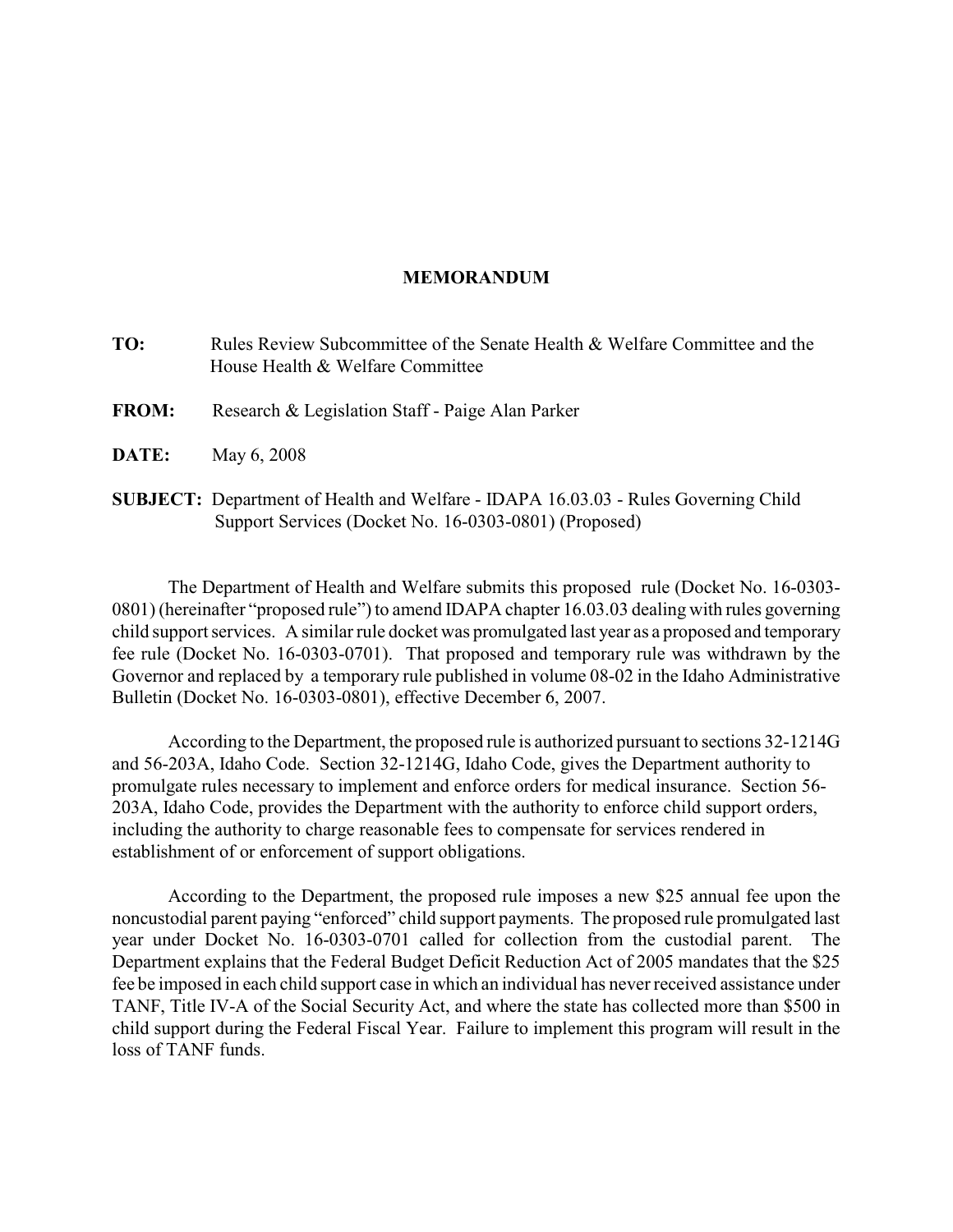# **MEMORANDUM**

- **TO:** Rules Review Subcommittee of the Senate Health & Welfare Committee and the House Health & Welfare Committee
- **FROM:** Research & Legislation Staff Paige Alan Parker
- **DATE:** May 6, 2008
- **SUBJECT:** Department of Health and Welfare IDAPA 16.03.03 Rules Governing Child Support Services (Docket No. 16-0303-0801) (Proposed)

The Department of Health and Welfare submits this proposed rule (Docket No. 16-0303- 0801) (hereinafter "proposed rule") to amend IDAPA chapter 16.03.03 dealing with rules governing child support services. A similar rule docket was promulgated last year as a proposed and temporary fee rule (Docket No. 16-0303-0701). That proposed and temporary rule was withdrawn by the Governor and replaced by a temporary rule published in volume 08-02 in the Idaho Administrative Bulletin (Docket No. 16-0303-0801), effective December 6, 2007.

According to the Department, the proposed rule is authorized pursuant to sections 32-1214G and 56-203A, Idaho Code. Section 32-1214G, Idaho Code, gives the Department authority to promulgate rules necessary to implement and enforce orders for medical insurance. Section 56- 203A, Idaho Code, provides the Department with the authority to enforce child support orders, including the authority to charge reasonable fees to compensate for services rendered in establishment of or enforcement of support obligations.

According to the Department, the proposed rule imposes a new \$25 annual fee upon the noncustodial parent paying "enforced" child support payments. The proposed rule promulgated last year under Docket No. 16-0303-0701 called for collection from the custodial parent. The Department explains that the Federal Budget Deficit Reduction Act of 2005 mandates that the \$25 fee be imposed in each child support case in which an individual has never received assistance under TANF, Title IV-A of the Social Security Act, and where the state has collected more than \$500 in child support during the Federal Fiscal Year. Failure to implement this program will result in the loss of TANF funds.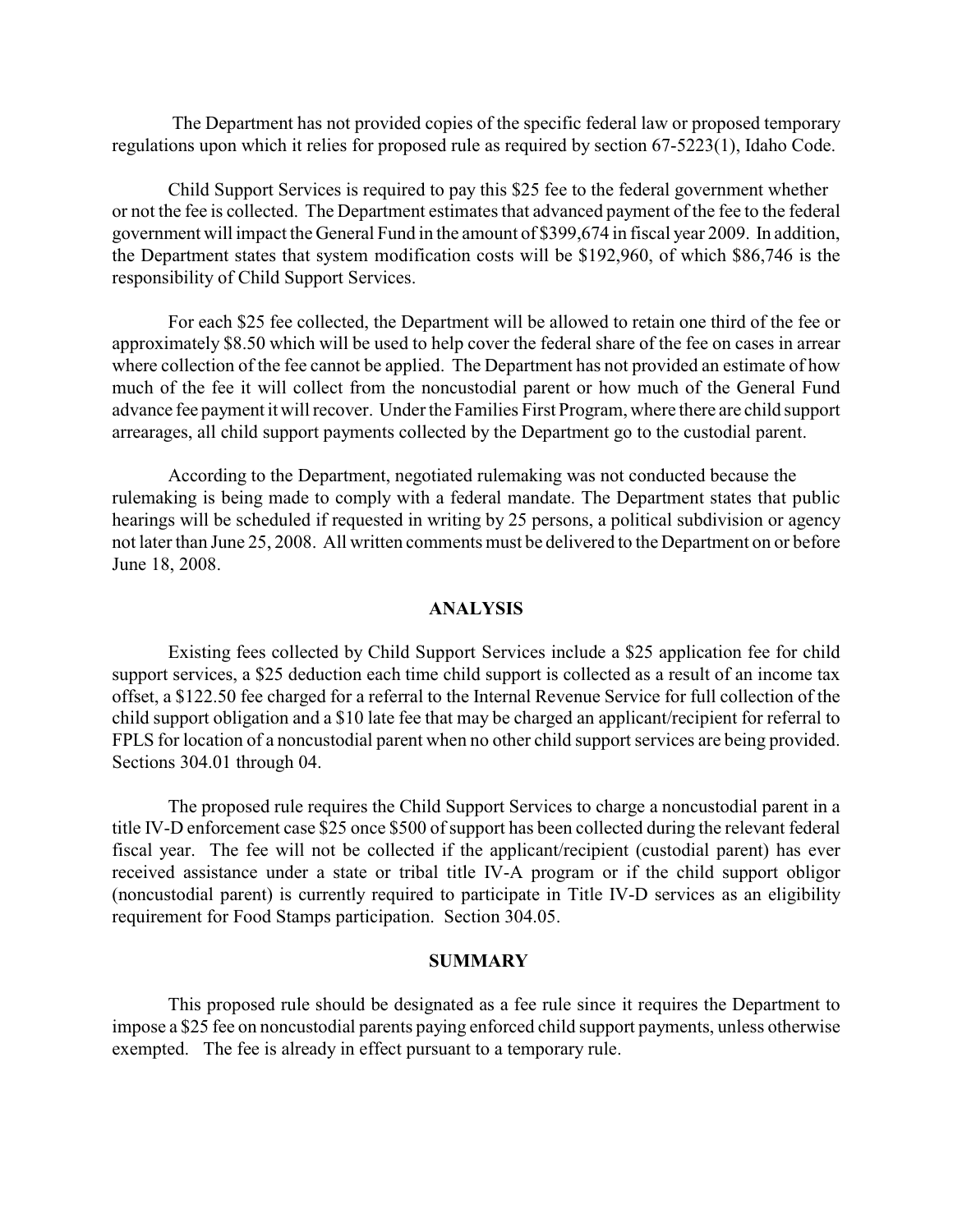The Department has not provided copies of the specific federal law or proposed temporary regulations upon which it relies for proposed rule as required by section 67-5223(1), Idaho Code.

Child Support Services is required to pay this \$25 fee to the federal government whether or not the fee is collected. The Department estimates that advanced payment of the fee to the federal government will impact the General Fund in the amount of \$399,674 in fiscal year 2009. In addition, the Department states that system modification costs will be \$192,960, of which \$86,746 is the responsibility of Child Support Services.

For each \$25 fee collected, the Department will be allowed to retain one third of the fee or approximately \$8.50 which will be used to help cover the federal share of the fee on cases in arrear where collection of the fee cannot be applied. The Department has not provided an estimate of how much of the fee it will collect from the noncustodial parent or how much of the General Fund advance fee payment it will recover. Underthe Families First Program, where there are child support arrearages, all child support payments collected by the Department go to the custodial parent.

According to the Department, negotiated rulemaking was not conducted because the rulemaking is being made to comply with a federal mandate. The Department states that public hearings will be scheduled if requested in writing by 25 persons, a political subdivision or agency not later than June 25, 2008. All written comments must be delivered to the Department on or before June 18, 2008.

# **ANALYSIS**

Existing fees collected by Child Support Services include a \$25 application fee for child support services, a \$25 deduction each time child support is collected as a result of an income tax offset, a \$122.50 fee charged for a referral to the Internal Revenue Service for full collection of the child support obligation and a \$10 late fee that may be charged an applicant/recipient for referral to FPLS for location of a noncustodial parent when no other child support services are being provided. Sections 304.01 through 04.

The proposed rule requires the Child Support Services to charge a noncustodial parent in a title IV-D enforcement case \$25 once \$500 of support has been collected during the relevant federal fiscal year. The fee will not be collected if the applicant/recipient (custodial parent) has ever received assistance under a state or tribal title IV-A program or if the child support obligor (noncustodial parent) is currently required to participate in Title IV-D services as an eligibility requirement for Food Stamps participation. Section 304.05.

## **SUMMARY**

This proposed rule should be designated as a fee rule since it requires the Department to impose a \$25 fee on noncustodial parents paying enforced child support payments, unless otherwise exempted. The fee is already in effect pursuant to a temporary rule.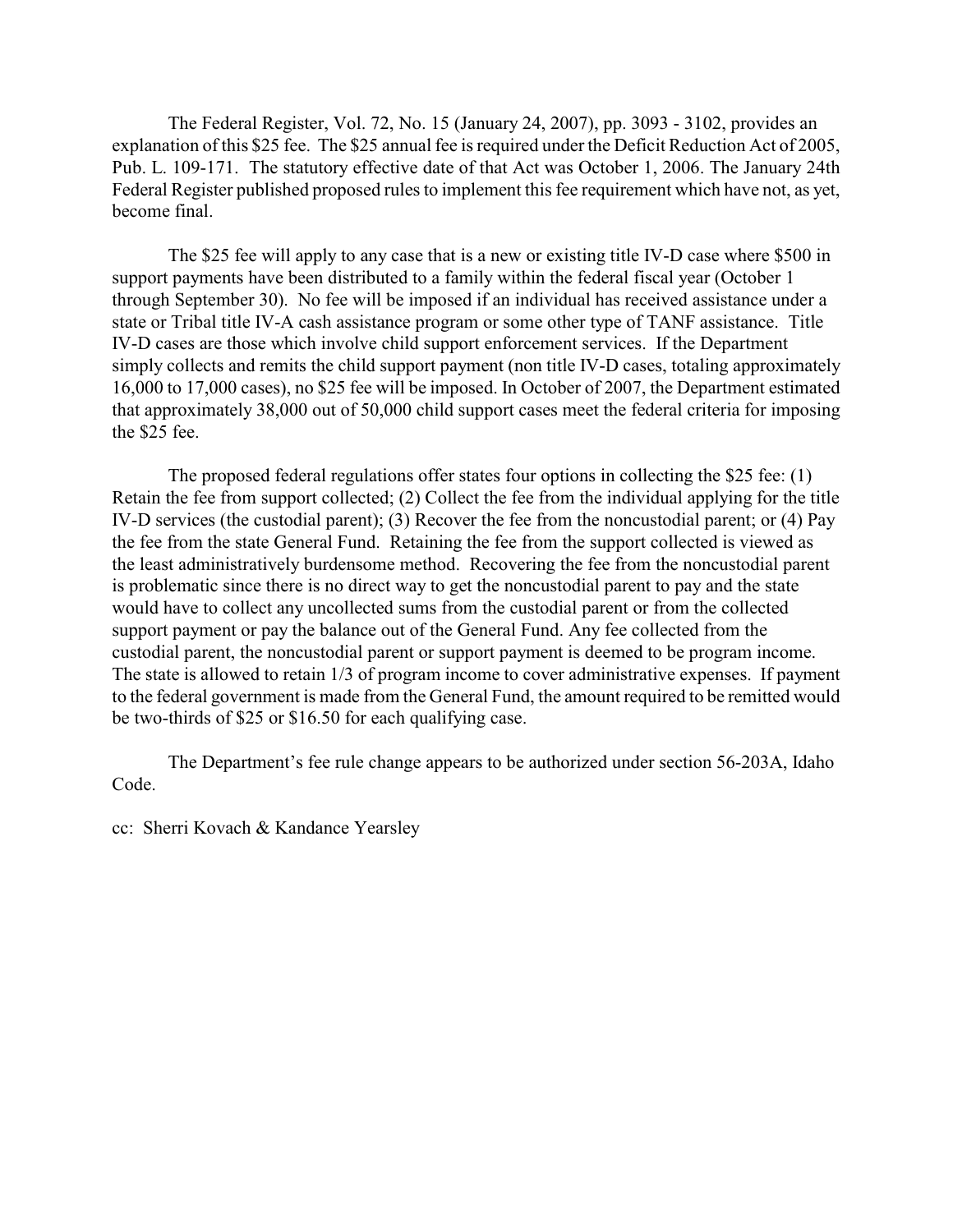The Federal Register, Vol. 72, No. 15 (January 24, 2007), pp. 3093 - 3102, provides an explanation of this \$25 fee. The \$25 annual fee is required under the Deficit Reduction Act of 2005, Pub. L. 109-171. The statutory effective date of that Act was October 1, 2006. The January 24th Federal Register published proposed rules to implement this fee requirement which have not, as yet, become final.

The \$25 fee will apply to any case that is a new or existing title IV-D case where \$500 in support payments have been distributed to a family within the federal fiscal year (October 1 through September 30). No fee will be imposed if an individual has received assistance under a state or Tribal title IV-A cash assistance program or some other type of TANF assistance. Title IV-D cases are those which involve child support enforcement services. If the Department simply collects and remits the child support payment (non title IV-D cases, totaling approximately 16,000 to 17,000 cases), no \$25 fee will be imposed. In October of 2007, the Department estimated that approximately 38,000 out of 50,000 child support cases meet the federal criteria for imposing the \$25 fee.

The proposed federal regulations offer states four options in collecting the \$25 fee: (1) Retain the fee from support collected; (2) Collect the fee from the individual applying for the title IV-D services (the custodial parent); (3) Recover the fee from the noncustodial parent; or (4) Pay the fee from the state General Fund. Retaining the fee from the support collected is viewed as the least administratively burdensome method. Recovering the fee from the noncustodial parent is problematic since there is no direct way to get the noncustodial parent to pay and the state would have to collect any uncollected sums from the custodial parent or from the collected support payment or pay the balance out of the General Fund. Any fee collected from the custodial parent, the noncustodial parent or support payment is deemed to be program income. The state is allowed to retain 1/3 of program income to cover administrative expenses. If payment to the federal government is made from the General Fund, the amount required to be remitted would be two-thirds of \$25 or \$16.50 for each qualifying case.

The Department's fee rule change appears to be authorized under section 56-203A, Idaho Code.

cc: Sherri Kovach & Kandance Yearsley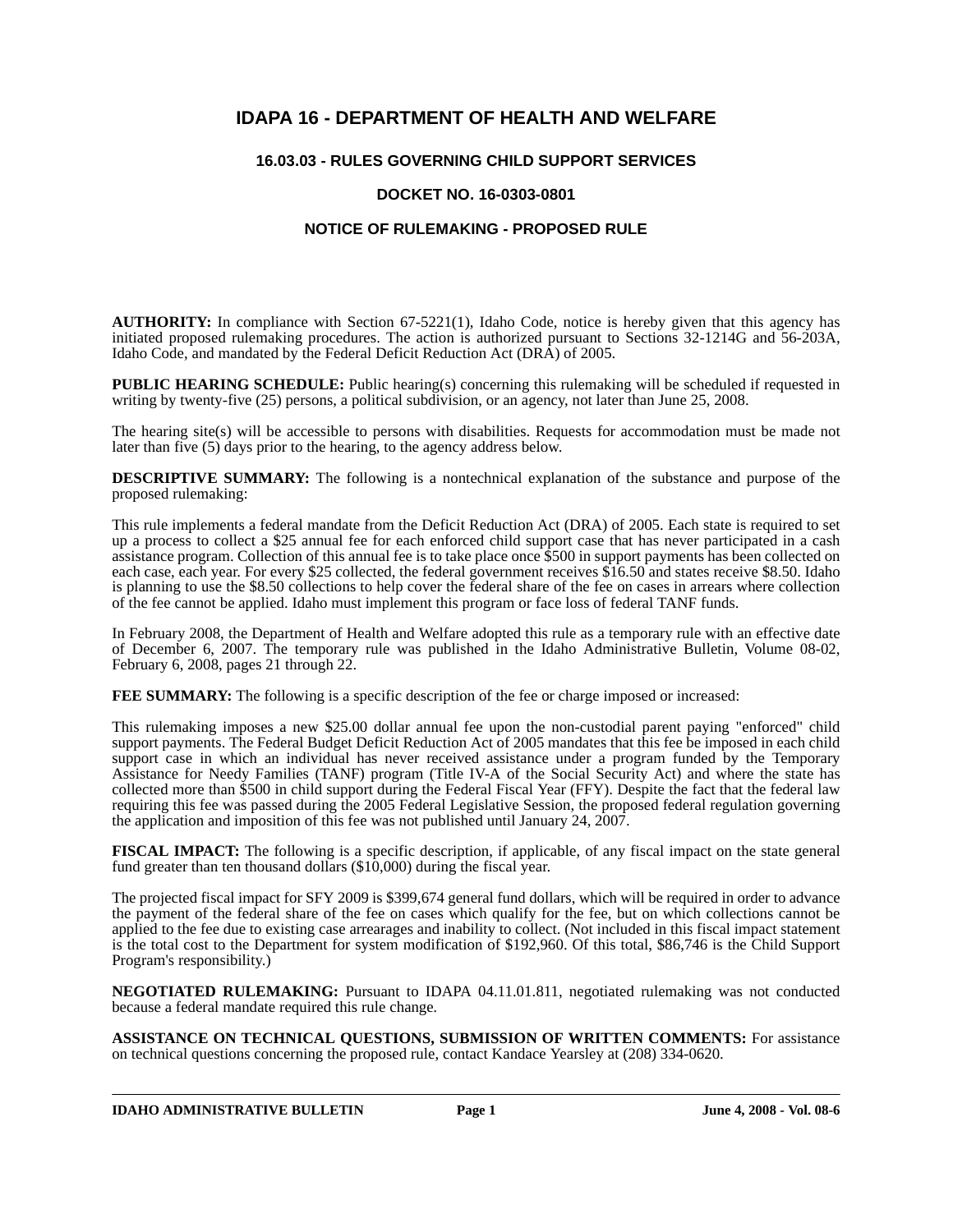# **IDAPA 16 - DEPARTMENT OF HEALTH AND WELFARE**

# **16.03.03 - RULES GOVERNING CHILD SUPPORT SERVICES**

## **DOCKET NO. 16-0303-0801**

## **NOTICE OF RULEMAKING - PROPOSED RULE**

**AUTHORITY:** In compliance with Section 67-5221(1), Idaho Code, notice is hereby given that this agency has initiated proposed rulemaking procedures. The action is authorized pursuant to Sections 32-1214G and 56-203A, Idaho Code, and mandated by the Federal Deficit Reduction Act (DRA) of 2005.

**PUBLIC HEARING SCHEDULE:** Public hearing(s) concerning this rulemaking will be scheduled if requested in writing by twenty-five (25) persons, a political subdivision, or an agency, not later than June 25, 2008.

The hearing site(s) will be accessible to persons with disabilities. Requests for accommodation must be made not later than five (5) days prior to the hearing, to the agency address below.

**DESCRIPTIVE SUMMARY:** The following is a nontechnical explanation of the substance and purpose of the proposed rulemaking:

This rule implements a federal mandate from the Deficit Reduction Act (DRA) of 2005. Each state is required to set up a process to collect a \$25 annual fee for each enforced child support case that has never participated in a cash assistance program. Collection of this annual fee is to take place once \$500 in support payments has been collected on each case, each year. For every \$25 collected, the federal government receives \$16.50 and states receive \$8.50. Idaho is planning to use the \$8.50 collections to help cover the federal share of the fee on cases in arrears where collection of the fee cannot be applied. Idaho must implement this program or face loss of federal TANF funds.

In February 2008, the Department of Health and Welfare adopted this rule as a temporary rule with an effective date of December 6, 2007. The temporary rule was published in the Idaho Administrative Bulletin, Volume 08-02, February 6, 2008, pages 21 through 22.

**FEE SUMMARY:** The following is a specific description of the fee or charge imposed or increased:

This rulemaking imposes a new \$25.00 dollar annual fee upon the non-custodial parent paying "enforced" child support payments. The Federal Budget Deficit Reduction Act of 2005 mandates that this fee be imposed in each child support case in which an individual has never received assistance under a program funded by the Temporary Assistance for Needy Families (TANF) program (Title IV-A of the Social Security Act) and where the state has collected more than \$500 in child support during the Federal Fiscal Year (FFY). Despite the fact that the federal law requiring this fee was passed during the 2005 Federal Legislative Session, the proposed federal regulation governing the application and imposition of this fee was not published until January 24, 2007.

**FISCAL IMPACT:** The following is a specific description, if applicable, of any fiscal impact on the state general fund greater than ten thousand dollars (\$10,000) during the fiscal year.

The projected fiscal impact for SFY 2009 is \$399,674 general fund dollars, which will be required in order to advance the payment of the federal share of the fee on cases which qualify for the fee, but on which collections cannot be applied to the fee due to existing case arrearages and inability to collect. (Not included in this fiscal impact statement is the total cost to the Department for system modification of \$192,960. Of this total, \$86,746 is the Child Support Program's responsibility.)

**NEGOTIATED RULEMAKING:** Pursuant to IDAPA 04.11.01.811, negotiated rulemaking was not conducted because a federal mandate required this rule change*.*

**ASSISTANCE ON TECHNICAL QUESTIONS, SUBMISSION OF WRITTEN COMMENTS:** For assistance on technical questions concerning the proposed rule, contact Kandace Yearsley at (208) 334-0620.